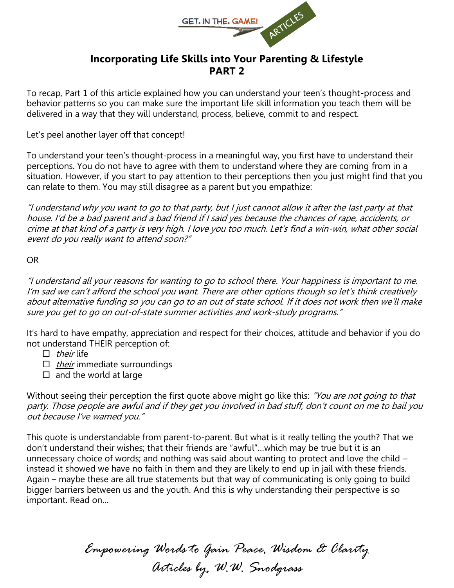

# **Incorporating Life Skills into Your Parenting & Lifestyle PART 2**

To recap, Part 1 of this article explained how you can understand your teen's thought-process and behavior patterns so you can make sure the important life skill information you teach them will be delivered in a way that they will understand, process, believe, commit to and respect.

Let's peel another layer off that concept!

To understand your teen's thought-process in a meaningful way, you first have to understand their perceptions. You do not have to agree with them to understand where they are coming from in a situation. However, if you start to pay attention to their perceptions then you just might find that you can relate to them. You may still disagree as a parent but you empathize:

"I understand why you want to go to that party, but I just cannot allow it after the last party at that house. I'd be a bad parent and a bad friend if I said yes because the chances of rape, accidents, or crime at that kind of a party is very high. I love you too much. Let's find a win-win, what other social event do you really want to attend soon?"

#### OR

"I understand all your reasons for wanting to go to school there. Your happiness is important to me. I'm sad we can't afford the school you want. There are other options though so let's think creatively about alternative funding so you can go to an out of state school. If it does not work then we'll make sure you get to go on out-of-state summer activities and work-study programs."

It's hard to have empathy, appreciation and respect for their choices, attitude and behavior if you do not understand THEIR perception of:

- $\Box$  their life
- $\Box$  *their* immediate surroundings
- $\Box$  and the world at large

Without seeing their perception the first quote above might go like this: "You are not going to that party. Those people are awful and if they get you involved in bad stuff, don't count on me to bail you out because I've warned you."

This quote is understandable from parent-to-parent. But what is it really telling the youth? That we don't understand their wishes; that their friends are "awful"…which may be true but it is an unnecessary choice of words; and nothing was said about wanting to protect and love the child – instead it showed we have no faith in them and they are likely to end up in jail with these friends. Again – maybe these are all true statements but that way of communicating is only going to build bigger barriers between us and the youth. And this is why understanding their perspective is so important. Read on…

> *Empowering Words to Gain Peace, Wisdom & Clarity Articles by, W.W. Snodgrass*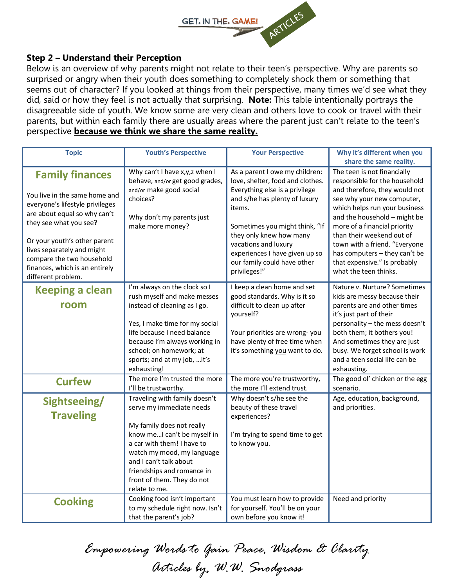

#### **Step 2 – Understand their Perception**

Below is an overview of why parents might not relate to their teen's perspective. Why are parents so surprised or angry when their youth does something to completely shock them or something that seems out of character? If you looked at things from their perspective, many times we'd see what they did, said or how they feel is not actually that surprising. **Note:** This table intentionally portrays the disagreeable side of youth. We know some are very clean and others love to cook or travel with their parents, but within each family there are usually areas where the parent just can't relate to the teen's perspective **because we think we share the same reality.**

| <b>Topic</b>                                                                                                                                                                                                                                                                                            | <b>Youth's Perspective</b>                                                                                                                                                                                                                                                                | <b>Your Perspective</b>                                                                                                                                                                                                                                                                                               | Why it's different when you                                                                                                                                                                                                                                                                                                                                                                                     |
|---------------------------------------------------------------------------------------------------------------------------------------------------------------------------------------------------------------------------------------------------------------------------------------------------------|-------------------------------------------------------------------------------------------------------------------------------------------------------------------------------------------------------------------------------------------------------------------------------------------|-----------------------------------------------------------------------------------------------------------------------------------------------------------------------------------------------------------------------------------------------------------------------------------------------------------------------|-----------------------------------------------------------------------------------------------------------------------------------------------------------------------------------------------------------------------------------------------------------------------------------------------------------------------------------------------------------------------------------------------------------------|
| <b>Family finances</b><br>You live in the same home and<br>everyone's lifestyle privileges<br>are about equal so why can't<br>they see what you see?<br>Or your youth's other parent<br>lives separately and might<br>compare the two household<br>finances, which is an entirely<br>different problem. | Why can't I have x, y, z when I<br>behave, and/or get good grades,<br>and/or make good social<br>choices?<br>Why don't my parents just<br>make more money?                                                                                                                                | As a parent I owe my children:<br>love, shelter, food and clothes.<br>Everything else is a privilege<br>and s/he has plenty of luxury<br>items.<br>Sometimes you might think, "If<br>they only knew how many<br>vacations and luxury<br>experiences I have given up so<br>our family could have other<br>privileges!" | share the same reality.<br>The teen is not financially<br>responsible for the household<br>and therefore, they would not<br>see why your new computer,<br>which helps run your business<br>and the household - might be<br>more of a financial priority<br>than their weekend out of<br>town with a friend. "Everyone<br>has computers - they can't be<br>that expensive." Is probably<br>what the teen thinks. |
| <b>Keeping a clean</b><br>room                                                                                                                                                                                                                                                                          | I'm always on the clock so I<br>rush myself and make messes<br>instead of cleaning as I go.<br>Yes, I make time for my social<br>life because I need balance<br>because I'm always working in<br>school; on homework; at<br>sports; and at my job,  it's<br>exhausting!                   | I keep a clean home and set<br>good standards. Why is it so<br>difficult to clean up after<br>yourself?<br>Your priorities are wrong-you<br>have plenty of free time when<br>it's something you want to do.                                                                                                           | Nature v. Nurture? Sometimes<br>kids are messy because their<br>parents are and other times<br>it's just part of their<br>personality - the mess doesn't<br>both them; it bothers you!<br>And sometimes they are just<br>busy. We forget school is work<br>and a teen social life can be<br>exhausting.                                                                                                         |
| <b>Curfew</b>                                                                                                                                                                                                                                                                                           | The more I'm trusted the more<br>I'll be trustworthy.                                                                                                                                                                                                                                     | The more you're trustworthy,<br>the more I'll extend trust.                                                                                                                                                                                                                                                           | The good ol' chicken or the egg<br>scenario.                                                                                                                                                                                                                                                                                                                                                                    |
| Sightseeing/<br><b>Traveling</b>                                                                                                                                                                                                                                                                        | Traveling with family doesn't<br>serve my immediate needs<br>My family does not really<br>know me I can't be myself in<br>a car with them! I have to<br>watch my mood, my language<br>and I can't talk about<br>friendships and romance in<br>front of them. They do not<br>relate to me. | Why doesn't s/he see the<br>beauty of these travel<br>experiences?<br>I'm trying to spend time to get<br>to know you.                                                                                                                                                                                                 | Age, education, background,<br>and priorities.                                                                                                                                                                                                                                                                                                                                                                  |
| <b>Cooking</b>                                                                                                                                                                                                                                                                                          | Cooking food isn't important<br>to my schedule right now. Isn't<br>that the parent's job?                                                                                                                                                                                                 | You must learn how to provide<br>for yourself. You'll be on your<br>own before you know it!                                                                                                                                                                                                                           | Need and priority                                                                                                                                                                                                                                                                                                                                                                                               |

*Empowering Words to Gain Peace, Wisdom & Clarity Articles by, W.W. Snodgrass*